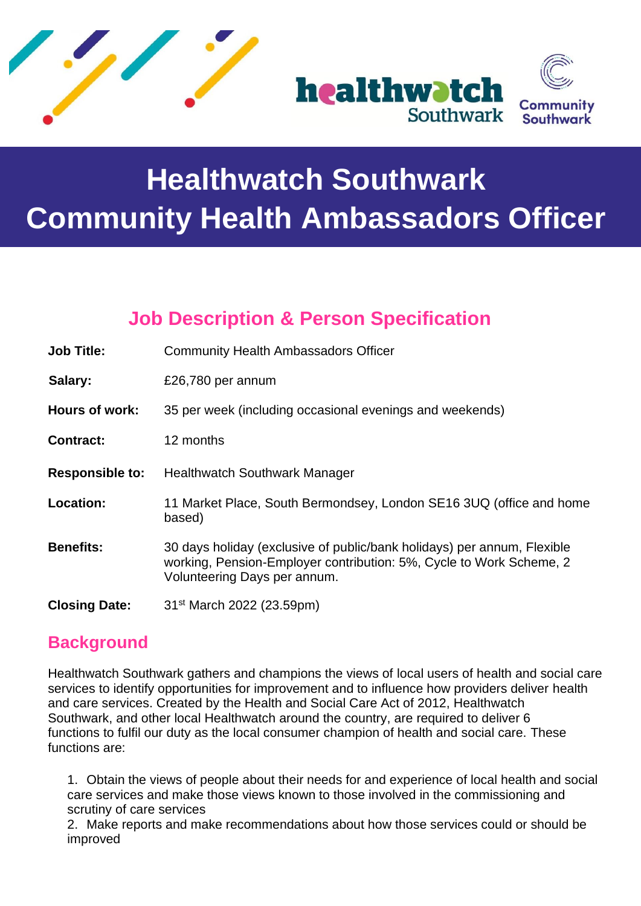

# **Healthwatch Southwark Community Health Ambassadors Officer**

# **Job Description & Person Specification**

| <b>Job Title:</b>      | <b>Community Health Ambassadors Officer</b>                                                                                                                                    |
|------------------------|--------------------------------------------------------------------------------------------------------------------------------------------------------------------------------|
| Salary:                | £26,780 per annum                                                                                                                                                              |
| Hours of work:         | 35 per week (including occasional evenings and weekends)                                                                                                                       |
| <b>Contract:</b>       | 12 months                                                                                                                                                                      |
| <b>Responsible to:</b> | <b>Healthwatch Southwark Manager</b>                                                                                                                                           |
| Location:              | 11 Market Place, South Bermondsey, London SE16 3UQ (office and home<br>based)                                                                                                  |
| <b>Benefits:</b>       | 30 days holiday (exclusive of public/bank holidays) per annum, Flexible<br>working, Pension-Employer contribution: 5%, Cycle to Work Scheme, 2<br>Volunteering Days per annum. |
| <b>Closing Date:</b>   | 31 <sup>st</sup> March 2022 (23.59pm)                                                                                                                                          |

# **Background**

Healthwatch Southwark gathers and champions the views of local users of health and social care services to identify opportunities for improvement and to influence how providers deliver health and care services. Created by the Health and Social Care Act of 2012, Healthwatch Southwark, and other local Healthwatch around the country, are required to deliver 6 functions to fulfil our duty as the local consumer champion of health and social care. These functions are:

1. Obtain the views of people about their needs for and experience of local health and social care services and make those views known to those involved in the commissioning and scrutiny of care services

2. Make reports and make recommendations about how those services could or should be improved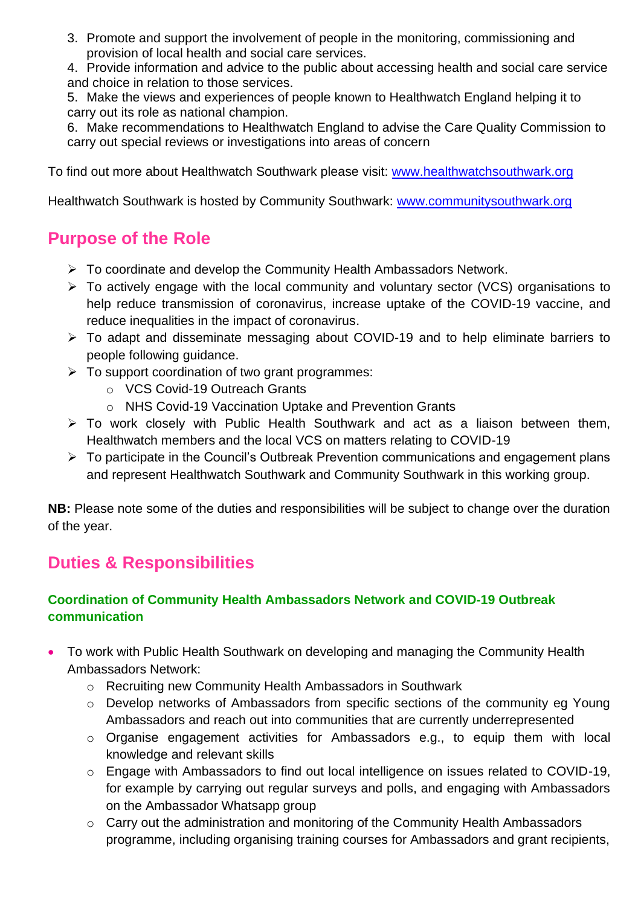3. Promote and support the involvement of people in the monitoring, commissioning and provision of local health and social care services.

4. Provide information and advice to the public about accessing health and social care service and choice in relation to those services.

5. Make the views and experiences of people known to Healthwatch England helping it to carry out its role as national champion.

6. Make recommendations to Healthwatch England to advise the Care Quality Commission to carry out special reviews or investigations into areas of concern

To find out more about Healthwatch Southwark please visit: [www.healthwatchsouthwark.org](http://www.healthwatchsouthwark.org/)

Healthwatch Southwark is hosted by Community Southwark: [www.communitysouthwark.org](http://www.communitysouthwark.org/)

## **Purpose of the Role**

- ➢ To coordinate and develop the Community Health Ambassadors Network.
- ➢ To actively engage with the local community and voluntary sector (VCS) organisations to help reduce transmission of coronavirus, increase uptake of the COVID-19 vaccine, and reduce inequalities in the impact of coronavirus.
- ➢ To adapt and disseminate messaging about COVID-19 and to help eliminate barriers to people following guidance.
- $\triangleright$  To support coordination of two grant programmes:
	- o VCS Covid-19 Outreach Grants
	- o NHS Covid-19 Vaccination Uptake and Prevention Grants
- ➢ To work closely with Public Health Southwark and act as a liaison between them, Healthwatch members and the local VCS on matters relating to COVID-19
- ➢ To participate in the Council's Outbreak Prevention communications and engagement plans and represent Healthwatch Southwark and Community Southwark in this working group.

**NB:** Please note some of the duties and responsibilities will be subject to change over the duration of the year.

# **Duties & Responsibilities**

#### **Coordination of Community Health Ambassadors Network and COVID-19 Outbreak communication**

- To work with Public Health Southwark on developing and managing the Community Health Ambassadors Network:
	- o Recruiting new Community Health Ambassadors in Southwark
	- o Develop networks of Ambassadors from specific sections of the community eg Young Ambassadors and reach out into communities that are currently underrepresented
	- o Organise engagement activities for Ambassadors e.g., to equip them with local knowledge and relevant skills
	- o Engage with Ambassadors to find out local intelligence on issues related to COVID-19, for example by carrying out regular surveys and polls, and engaging with Ambassadors on the Ambassador Whatsapp group
	- o Carry out the administration and monitoring of the Community Health Ambassadors programme, including organising training courses for Ambassadors and grant recipients,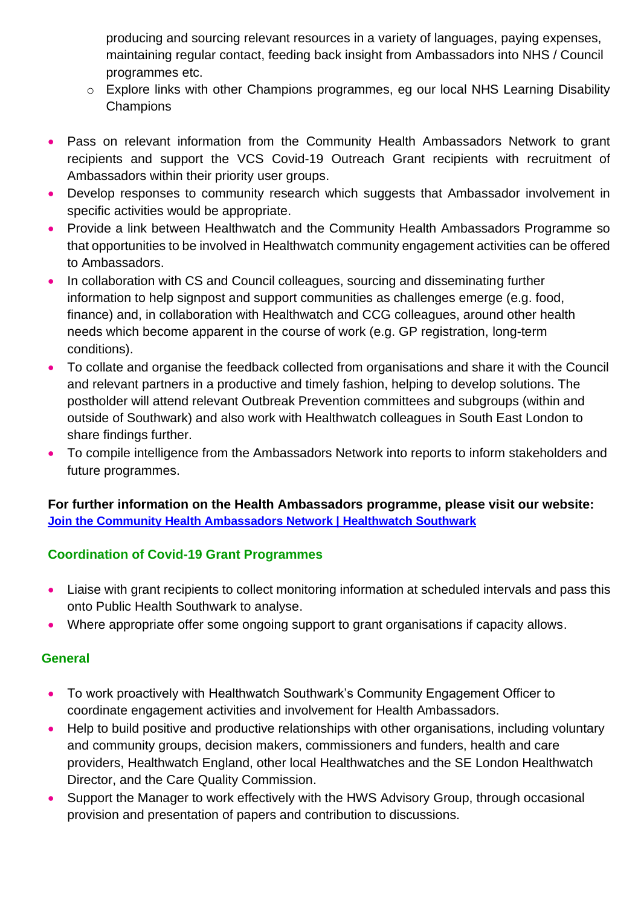producing and sourcing relevant resources in a variety of languages, paying expenses, maintaining regular contact, feeding back insight from Ambassadors into NHS / Council programmes etc.

- o Explore links with other Champions programmes, eg our local NHS Learning Disability **Champions**
- Pass on relevant information from the Community Health Ambassadors Network to grant recipients and support the VCS Covid-19 Outreach Grant recipients with recruitment of Ambassadors within their priority user groups.
- Develop responses to community research which suggests that Ambassador involvement in specific activities would be appropriate.
- Provide a link between Healthwatch and the Community Health Ambassadors Programme so that opportunities to be involved in Healthwatch community engagement activities can be offered to Ambassadors.
- In collaboration with CS and Council colleagues, sourcing and disseminating further information to help signpost and support communities as challenges emerge (e.g. food, finance) and, in collaboration with Healthwatch and CCG colleagues, around other health needs which become apparent in the course of work (e.g. GP registration, long-term conditions).
- To collate and organise the feedback collected from organisations and share it with the Council and relevant partners in a productive and timely fashion, helping to develop solutions. The postholder will attend relevant Outbreak Prevention committees and subgroups (within and outside of Southwark) and also work with Healthwatch colleagues in South East London to share findings further.
- To compile intelligence from the Ambassadors Network into reports to inform stakeholders and future programmes.

**For further information on the Health Ambassadors programme, please visit our website: [Join the Community Health Ambassadors Network | Healthwatch Southwark](https://www.healthwatchsouthwark.org/news/2022-02-28/join-community-health-ambassadors-network)**

#### **Coordination of Covid-19 Grant Programmes**

- Liaise with grant recipients to collect monitoring information at scheduled intervals and pass this onto Public Health Southwark to analyse.
- Where appropriate offer some ongoing support to grant organisations if capacity allows.

#### **General**

- To work proactively with Healthwatch Southwark's Community Engagement Officer to coordinate engagement activities and involvement for Health Ambassadors.
- Help to build positive and productive relationships with other organisations, including voluntary and community groups, decision makers, commissioners and funders, health and care providers, Healthwatch England, other local Healthwatches and the SE London Healthwatch Director, and the Care Quality Commission.
- Support the Manager to work effectively with the HWS Advisory Group, through occasional provision and presentation of papers and contribution to discussions.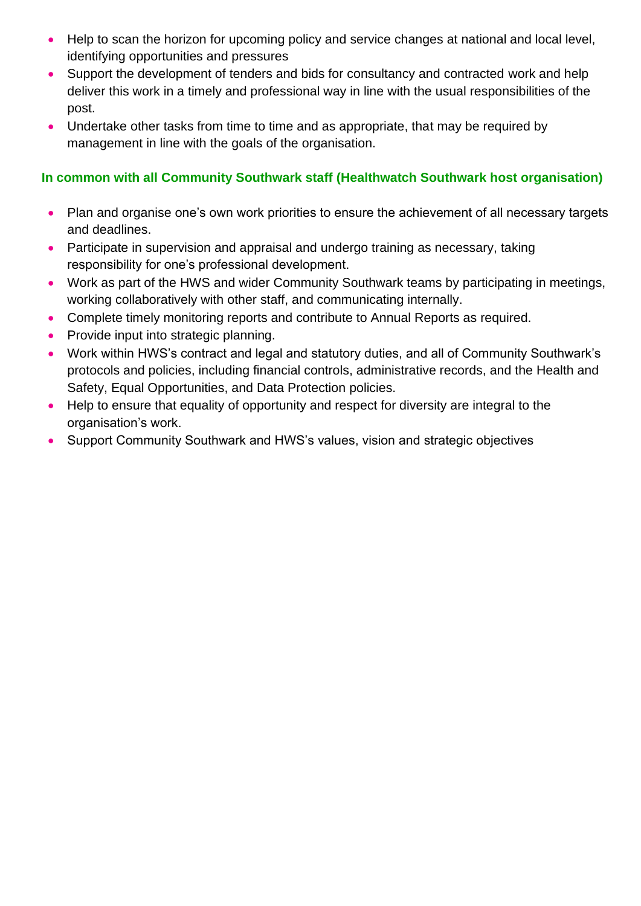- Help to scan the horizon for upcoming policy and service changes at national and local level, identifying opportunities and pressures
- Support the development of tenders and bids for consultancy and contracted work and help deliver this work in a timely and professional way in line with the usual responsibilities of the post.
- Undertake other tasks from time to time and as appropriate, that may be required by management in line with the goals of the organisation.

#### **In common with all Community Southwark staff (Healthwatch Southwark host organisation)**

- Plan and organise one's own work priorities to ensure the achievement of all necessary targets and deadlines.
- Participate in supervision and appraisal and undergo training as necessary, taking responsibility for one's professional development.
- Work as part of the HWS and wider Community Southwark teams by participating in meetings, working collaboratively with other staff, and communicating internally.
- Complete timely monitoring reports and contribute to Annual Reports as required.
- Provide input into strategic planning.
- Work within HWS's contract and legal and statutory duties, and all of Community Southwark's protocols and policies, including financial controls, administrative records, and the Health and Safety, Equal Opportunities, and Data Protection policies.
- Help to ensure that equality of opportunity and respect for diversity are integral to the organisation's work.
- Support Community Southwark and HWS's values, vision and strategic objectives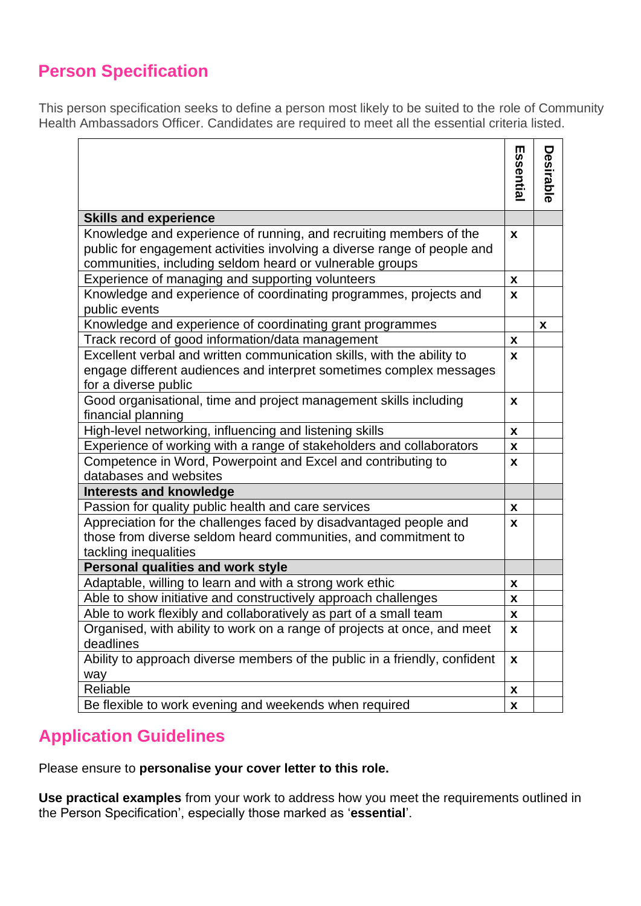## **Person Specification**

This person specification seeks to define a person most likely to be suited to the role of Community Health Ambassadors Officer. Candidates are required to meet all the essential criteria listed.

|                                                                                                                                                                       | Essential | Desirable                 |  |  |
|-----------------------------------------------------------------------------------------------------------------------------------------------------------------------|-----------|---------------------------|--|--|
|                                                                                                                                                                       |           |                           |  |  |
| <b>Skills and experience</b>                                                                                                                                          |           |                           |  |  |
| Knowledge and experience of running, and recruiting members of the                                                                                                    | X         |                           |  |  |
| public for engagement activities involving a diverse range of people and                                                                                              |           |                           |  |  |
| communities, including seldom heard or vulnerable groups                                                                                                              | X         |                           |  |  |
| Experience of managing and supporting volunteers                                                                                                                      |           |                           |  |  |
| Knowledge and experience of coordinating programmes, projects and<br>public events                                                                                    | X         |                           |  |  |
| Knowledge and experience of coordinating grant programmes                                                                                                             |           | $\boldsymbol{\mathsf{x}}$ |  |  |
| Track record of good information/data management                                                                                                                      |           |                           |  |  |
| Excellent verbal and written communication skills, with the ability to<br>engage different audiences and interpret sometimes complex messages<br>for a diverse public |           |                           |  |  |
| Good organisational, time and project management skills including<br>financial planning                                                                               | X         |                           |  |  |
| High-level networking, influencing and listening skills                                                                                                               | X         |                           |  |  |
| Experience of working with a range of stakeholders and collaborators                                                                                                  | X         |                           |  |  |
| Competence in Word, Powerpoint and Excel and contributing to                                                                                                          |           |                           |  |  |
| databases and websites                                                                                                                                                |           |                           |  |  |
| <b>Interests and knowledge</b>                                                                                                                                        |           |                           |  |  |
| Passion for quality public health and care services                                                                                                                   | X         |                           |  |  |
| Appreciation for the challenges faced by disadvantaged people and                                                                                                     | X         |                           |  |  |
| those from diverse seldom heard communities, and commitment to                                                                                                        |           |                           |  |  |
| tackling inequalities<br>Personal qualities and work style                                                                                                            |           |                           |  |  |
| Adaptable, willing to learn and with a strong work ethic                                                                                                              | X         |                           |  |  |
| Able to show initiative and constructively approach challenges                                                                                                        | X         |                           |  |  |
| Able to work flexibly and collaboratively as part of a small team                                                                                                     |           |                           |  |  |
| Organised, with ability to work on a range of projects at once, and meet<br>deadlines                                                                                 |           |                           |  |  |
| Ability to approach diverse members of the public in a friendly, confident<br>way                                                                                     |           |                           |  |  |
| Reliable                                                                                                                                                              | X         |                           |  |  |
| Be flexible to work evening and weekends when required                                                                                                                |           |                           |  |  |

### **Application Guidelines**

Please ensure to **personalise your cover letter to this role.**

**Use practical examples** from your work to address how you meet the requirements outlined in the Person Specification', especially those marked as '**essential**'.